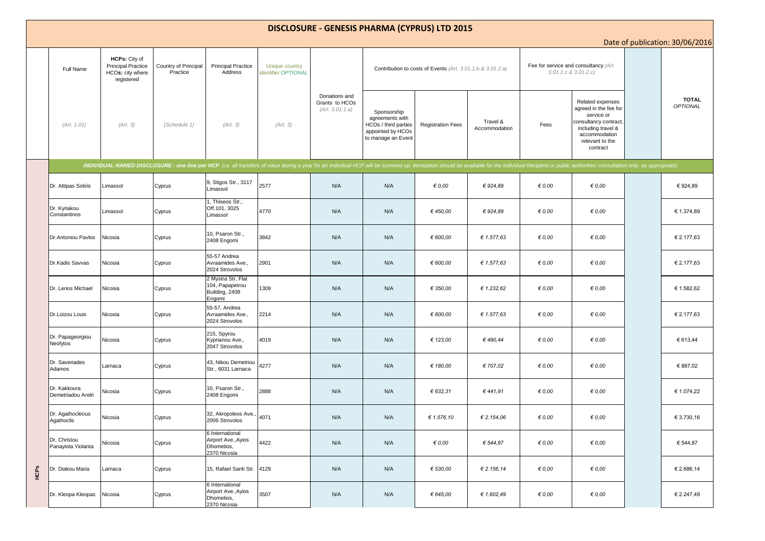## **DISCLOSURE - GENESIS PHARMA (CYPRUS) LTD 2015**

Date of publication: 30/06/2016

|      |                                    |                                                                              |                                  |                                                                      |                                       |                                                    |                                                                                                   |                          |                           |                                                                    |                                                                                                                                                                                                                                | <b>Date of publication.</b> 50,00,2010 |
|------|------------------------------------|------------------------------------------------------------------------------|----------------------------------|----------------------------------------------------------------------|---------------------------------------|----------------------------------------------------|---------------------------------------------------------------------------------------------------|--------------------------|---------------------------|--------------------------------------------------------------------|--------------------------------------------------------------------------------------------------------------------------------------------------------------------------------------------------------------------------------|----------------------------------------|
|      | Full Name                          | HCPs: City of<br><b>Principal Practice</b><br>HCOs: city where<br>registered | Country of Principal<br>Practice | <b>Principal Practice</b><br>Address                                 | Unique country<br>identifier OPTIONAL |                                                    | Contribution to costs of Events (Art. 3.01.1.b & 3.01.2.a)                                        |                          |                           | Fee for service and consultancy (Art.<br>$3.01.1.c$ & $3.01.2.c$ ) |                                                                                                                                                                                                                                |                                        |
|      | (Art. 1.01)                        | (Art. 3)                                                                     | (Schedule 1)                     | (Art. 3)                                                             | (Art. 3)                              | Donations and<br>Grants to HCOs<br>(Art. 3.01.1.a) | Sponsorship<br>agreements with<br>HCOs / third parties<br>appointed by HCOs<br>to manage an Event | <b>Registration Fees</b> | Travel &<br>Accommodation | Fees                                                               | Related expenses<br>agreed in the fee for<br>service or<br>consultancy contract,<br>including travel &<br>accommodation<br>relevant to the<br>contract                                                                         | <b>TOTAL</b><br>OPTIONAL               |
|      |                                    |                                                                              |                                  |                                                                      |                                       |                                                    |                                                                                                   |                          |                           |                                                                    | INDIVIDUAL NAMED DISCLOSURE - one line per HCP (i.e. all transfers of value during a year for an individual HCP will be summed up: itemization should be available for the individual Recipient or public authorities' consult |                                        |
|      | Dr. Attipas Sotiris                | Limassol                                                                     | Cyprus                           | 9, Stigos Str., 3117<br>Limassol                                     | 2577                                  | N/A                                                | N/A                                                                                               | $\epsilon$ 0.00          | € 924,89                  | $\epsilon$ 0.00                                                    | € 0.00                                                                                                                                                                                                                         | € 924,89                               |
|      | Dr. Kyriakou<br>Constantinos       | Limassol                                                                     | Cyprus                           | 1, Thiseos Str.,<br>Off.101, 3025<br>Limassol                        | 4770                                  | N/A                                                | N/A                                                                                               | €450,00                  | € 924,89                  | $\epsilon$ 0,00                                                    | $\epsilon$ 0,00                                                                                                                                                                                                                | € 1.374,89                             |
|      | Dr. Antoniou Pavlos                | Nicosia                                                                      | Cyprus                           | 10, Psaron Str.,<br>2408 Engomi                                      | 3842                                  | N/A                                                | N/A                                                                                               | € 600,00                 | € 1.577,63                | $\epsilon$ 0,00                                                    | $\epsilon$ 0,00                                                                                                                                                                                                                | € 2.177,63                             |
|      | Dr.Kadis Savvas                    | Nicosia                                                                      | Cyprus                           | 55-57 Andrea<br>Avraamides Ave.,<br>2024 Strovolos                   | 2901                                  | N/A                                                | N/A                                                                                               | € 600,00                 | € 1.577,63                | $\epsilon$ 0,00                                                    | $\epsilon$ 0,00                                                                                                                                                                                                                | € 2.177.63                             |
|      | Dr. Lerios Michael                 | Nicosia                                                                      | Cyprus                           | 2 Mystra Str, Flat<br>104, Papapetrou<br>Building, 2408<br>Engomi    | 1309                                  | N/A                                                | N/A                                                                                               | € 350,00                 | € 1.232,62                | $\epsilon$ 0,00                                                    | 60,00                                                                                                                                                                                                                          | € 1.582,62                             |
|      | Dr.Loizou Louis                    | Nicosia                                                                      | Cyprus                           | 55-57, Andrea<br>Avraamides Ave.,<br>2024 Strovolos                  | 2214                                  | N/A                                                | N/A                                                                                               | € 600,00                 | € 1.577,63                | $\epsilon$ 0,00                                                    | 60,00                                                                                                                                                                                                                          | € 2.177,63                             |
|      | Dr. Papageorgiou<br>Neofytos       | Nicosia                                                                      | Cyprus                           | 215, Spyrou<br>Kyprianou Ave.,<br>2047 Strovolos                     | 4019                                  | N/A                                                | N/A                                                                                               | € 123,00                 | €490,44                   | $\epsilon$ 0,00                                                    | 60,00                                                                                                                                                                                                                          | € 613,44                               |
|      | Dr. Saveriades<br>Adamos           | Larnaca                                                                      | Cyprus                           | 43, Nikou Demetriou<br>Str., 6031 Larnaca                            | 4277                                  | N/A                                                | N/A                                                                                               | € 180,00                 | € 707,02                  | $\epsilon$ 0,00                                                    | 60,00                                                                                                                                                                                                                          | € 887,02                               |
|      | Dr. Kakkoura<br>Demetriadou Andri  | Nicosia                                                                      | Cyprus                           | 10, Psaron Str.,<br>2408 Engomi                                      | 2888                                  | N/A                                                | N/A                                                                                               | € 632,31                 | €441,91                   | $\epsilon$ 0,00                                                    | $\epsilon$ 0,00                                                                                                                                                                                                                | € 1.074,22                             |
|      | Dr. Agathocleous<br>Agathoclis     | Nicosia                                                                      | Cyprus                           | 32, Akropoleos Ave.,<br>2006 Strovolos                               | 4071                                  | N/A                                                | N/A                                                                                               | € 1.576,10               | € 2.154,06                | $\epsilon$ 0,00                                                    | 60,00                                                                                                                                                                                                                          | € 3.730,16                             |
|      | Dr. Christou<br>Panayiota Yiolanta | Nicosia                                                                      | Cyprus                           | 6 International<br>Airport Ave., Ayios<br>Dhometios,<br>2370 Nicosia | 4422                                  | N/A                                                | N/A                                                                                               | 60,00                    | € 544,87                  | $\epsilon$ 0,00                                                    | 60,00                                                                                                                                                                                                                          | € 544,87                               |
| НCPS | Dr. Diakou Maria                   | Larnaca                                                                      | Cyprus                           | 15, Rafael Santi Str.                                                | 4129                                  | N/A                                                | N/A                                                                                               | € 530,00                 | € 2.156,14                | $\epsilon$ 0,00                                                    | 60,00                                                                                                                                                                                                                          | € 2.686,14                             |
|      | Dr. Kleopa Kleopas                 | Nicosia                                                                      | Cyprus                           | 6 International<br>Airport Ave., Ayios<br>Dhometios,<br>2370 Nicosia | 3507                                  | N/A                                                | N/A                                                                                               | € 645,00                 | € 1.602,49                | $\epsilon$ 0,00                                                    | $\epsilon$ 0,00                                                                                                                                                                                                                | € 2.247,49                             |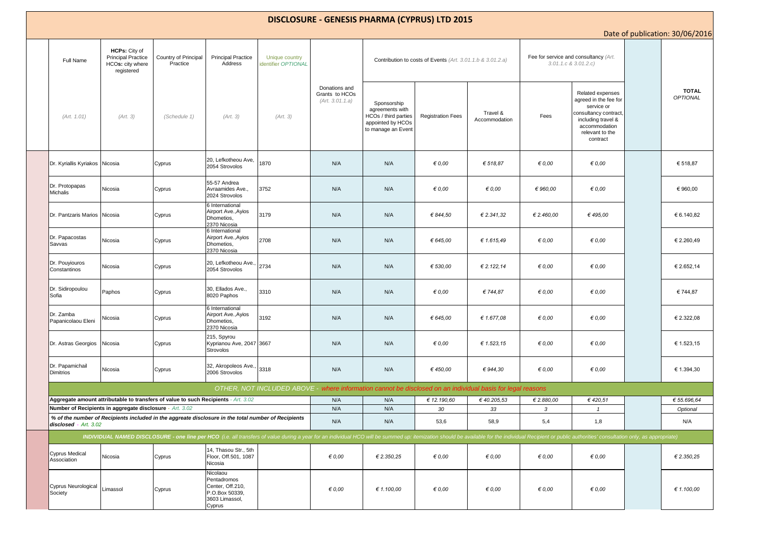| <b>DISCLOSURE - GENESIS PHARMA (CYPRUS) LTD 2015</b>                                                                                                                                                                           |                                                                              |                                                                                    |                                                                                           |                                                                                                            |                                                    |                                                                                                   |                          |                           |                                                                  |                                                                                                                                                        |  |                          |
|--------------------------------------------------------------------------------------------------------------------------------------------------------------------------------------------------------------------------------|------------------------------------------------------------------------------|------------------------------------------------------------------------------------|-------------------------------------------------------------------------------------------|------------------------------------------------------------------------------------------------------------|----------------------------------------------------|---------------------------------------------------------------------------------------------------|--------------------------|---------------------------|------------------------------------------------------------------|--------------------------------------------------------------------------------------------------------------------------------------------------------|--|--------------------------|
| Date of publication: 30/06/2016                                                                                                                                                                                                |                                                                              |                                                                                    |                                                                                           |                                                                                                            |                                                    |                                                                                                   |                          |                           |                                                                  |                                                                                                                                                        |  |                          |
| Full Name                                                                                                                                                                                                                      | HCPs: City of<br><b>Principal Practice</b><br>HCOs: city where<br>registered | Country of Principal<br>Practice                                                   | <b>Principal Practice</b><br>Address                                                      | Unique country<br>dentifier OPTIONAL                                                                       |                                                    | Contribution to costs of Events (Art. 3.01.1.b & 3.01.2.a)                                        |                          |                           | Fee for service and consultancy (Art.<br>$3.01.1.c$ & $3.01.2.c$ |                                                                                                                                                        |  |                          |
| (Art. 1.01)                                                                                                                                                                                                                    | (Art. 3)                                                                     | (Schedule 1)                                                                       | (Art. 3)                                                                                  | (Art. 3)                                                                                                   | Donations and<br>Grants to HCOs<br>(Art. 3.01.1.a) | Sponsorship<br>agreements with<br>HCOs / third parties<br>appointed by HCOs<br>to manage an Event | <b>Registration Fees</b> | Travel &<br>Accommodation | Fees                                                             | Related expenses<br>agreed in the fee for<br>service or<br>consultancy contract,<br>including travel &<br>accommodation<br>relevant to the<br>contract |  | <b>TOTAL</b><br>OPTIONAL |
| Dr. Kyriallis Kyriakos                                                                                                                                                                                                         | Nicosia                                                                      | Cyprus                                                                             | 20, Lefkotheou Ave,<br>2054 Strovolos                                                     | 1870                                                                                                       | N/A                                                | N/A                                                                                               | $\epsilon$ 0,00          | € 518,87                  | $\epsilon$ 0,00                                                  | € 0,00                                                                                                                                                 |  | € 518,87                 |
| Dr. Protopapas<br><b>Michalis</b>                                                                                                                                                                                              | Nicosia                                                                      | Cyprus                                                                             | 55-57 Andrea<br>Avraamides Ave.,<br>2024 Strovolos                                        | 3752                                                                                                       | N/A                                                | N/A                                                                                               | $\epsilon$ 0.00          | 60,00                     | € 960,00                                                         | 60,00                                                                                                                                                  |  | € 960,00                 |
| Dr. Pantzaris Marios                                                                                                                                                                                                           | Nicosia                                                                      | Cyprus                                                                             | 6 International<br>Airport Ave., Ayios<br>Dhometios,<br>2370 Nicosia                      | 3179                                                                                                       | N/A                                                | N/A                                                                                               | € 844,50                 | € 2.341,32                | € 2.460,00                                                       | € 495,00                                                                                                                                               |  | € 6.140,82               |
| Dr. Papacostas<br>Savvas                                                                                                                                                                                                       | Vicosia                                                                      | Cyprus                                                                             | 6 International<br>Airport Ave., Ayios<br>Dhometios,<br>2370 Nicosia                      | 2708                                                                                                       | N/A                                                | N/A                                                                                               | € 645,00                 | € 1.615,49                | $\epsilon$ 0,00                                                  | 60,00                                                                                                                                                  |  | € 2.260,49               |
| Dr. Pouyiouros<br>Constantinos                                                                                                                                                                                                 | Vicosia                                                                      | Cyprus                                                                             | 20, Lefkotheou Ave.,<br>2054 Strovolos                                                    | 2734                                                                                                       | N/A                                                | N/A                                                                                               | € 530,00                 | € 2.122,14                | $\epsilon$ 0,00                                                  | 60,00                                                                                                                                                  |  | € 2.652,14               |
| Dr. Sidiropoulou<br>Sofia                                                                                                                                                                                                      | Paphos                                                                       | Cyprus                                                                             | 30, Ellados Ave.,<br>8020 Paphos                                                          | 3310                                                                                                       | N/A                                                | N/A                                                                                               | 60,00                    | € 744,87                  | $\epsilon$ 0,00                                                  | 60,00                                                                                                                                                  |  | € 744,87                 |
| Dr. Zamba<br>Papanicolaou Eleni                                                                                                                                                                                                | Vicosia                                                                      | Cyprus                                                                             | 6 International<br>Airport Ave., Ayios<br>Dhometios,<br>2370 Nicosia                      | 3192                                                                                                       | N/A                                                | N/A                                                                                               | € 645,00                 | € 1.677,08                | $\epsilon$ 0.00                                                  | € 0.00                                                                                                                                                 |  | € 2.322,08               |
| Dr. Astras Georgios                                                                                                                                                                                                            | Nicosia                                                                      | Cyprus                                                                             | 215, Spyrou<br>Kyprianou Ave, 2047 3667<br>Strovolos                                      |                                                                                                            | N/A                                                | N/A                                                                                               | $\epsilon$ 0.00          | € 1.523,15                | $\epsilon$ 0,00                                                  | € 0.00                                                                                                                                                 |  | € 1.523,15               |
| Dr. Papamichail<br><b>Dimitrios</b>                                                                                                                                                                                            | Nicosia                                                                      | Cyprus                                                                             | 32, Akropoleos Ave.,<br>2006 Strovolos                                                    | 3318                                                                                                       | N/A                                                | N/A                                                                                               | €450,00                  | € 944,30                  | $\epsilon$ 0,00                                                  | € 0.00                                                                                                                                                 |  | € 1.394,30               |
|                                                                                                                                                                                                                                |                                                                              |                                                                                    |                                                                                           | OTHER, NOT INCLUDED ABOVE - where information cannot be disclosed on an individual basis for legal reasons |                                                    |                                                                                                   |                          |                           |                                                                  |                                                                                                                                                        |  |                          |
|                                                                                                                                                                                                                                |                                                                              | Aggregate amount attributable to transfers of value to such Recipients - Art. 3.02 |                                                                                           |                                                                                                            | N/A                                                | N/A                                                                                               | € 12.190,60              | €40.205,53                | € 2.880,00                                                       | €420,51                                                                                                                                                |  | € 55.696,64              |
| Number of Recipients in aggregate disclosure - Art. 3.02                                                                                                                                                                       |                                                                              |                                                                                    |                                                                                           |                                                                                                            | N/A                                                | N/A                                                                                               | 30                       | 33                        | 3                                                                | $\mathbf{1}$                                                                                                                                           |  | Optional                 |
| of the number of Recipients included in the aggreate disclosure in the total number of Recipients %<br>disclosed - Art. 3.02                                                                                                   |                                                                              |                                                                                    |                                                                                           |                                                                                                            | N/A                                                | N/A                                                                                               | 53,6                     | 58,9                      | 5,4                                                              | 1,8                                                                                                                                                    |  | N/A                      |
| INDIVIDUAL NAMED DISCLOSURE - one line per HCO (i.e. all transfers of value during a year for an individual HCO will be summed up: itemization should be available for the individual Recipient or public authorities' consult |                                                                              |                                                                                    |                                                                                           |                                                                                                            |                                                    |                                                                                                   |                          |                           |                                                                  |                                                                                                                                                        |  |                          |
| <b>Cyprus Medical</b><br>Association                                                                                                                                                                                           | Nicosia                                                                      | Cyprus                                                                             | 14, Thasou Str., 5th<br>Floor, Off.501, 1087<br>Nicosia                                   |                                                                                                            | $\epsilon$ 0.00                                    | € 2.350,25                                                                                        | $\epsilon$ 0.00          | $\epsilon$ 0.00           | $\epsilon$ 0,00                                                  | € 0.00                                                                                                                                                 |  | € 2.350,25               |
| <b>Cyprus Neurological</b><br>Society                                                                                                                                                                                          | Limassol                                                                     | Cyprus                                                                             | Nicolaou<br>Pentadromos<br>Center, Off.210,<br>P.O.Box 50339,<br>3603 Limassol,<br>Cyprus |                                                                                                            | $\epsilon$ 0,00                                    | € 1.100,00                                                                                        | $\epsilon$ 0,00          | $\epsilon$ 0,00           | $\epsilon$ 0,00                                                  | € 0,00                                                                                                                                                 |  | € 1.100,00               |